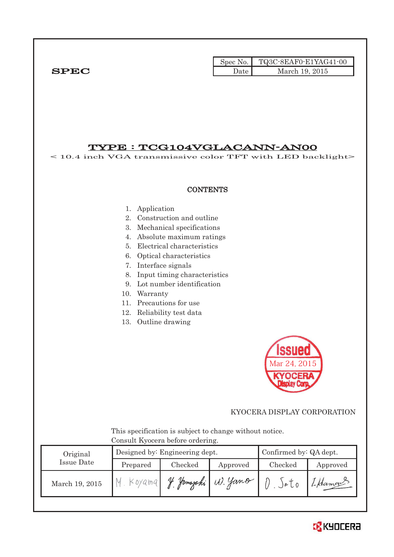|              |      | $\text{Spec No.}$ $\Box$ TQ3C-8EAF0-E1YAG41-00 |
|--------------|------|------------------------------------------------|
| ${\bf SPEC}$ | Date | March 19, 2015                                 |

## TYPE : TCG104VGLACANN-AN00

< 10.4 inch VGA transmissive color TFT with LED backlight>

### **CONTENTS**

- 1. Application
- 2. Construction and outline
- 3. Mechanical specifications
- 4. Absolute maximum ratings
- 5. Electrical characteristics
- 6. Optical characteristics
- 7. Interface signals
- 8. Input timing characteristics
- 9. Lot number identification
- 10. Warranty
- 11. Precautions for use
- 12. Reliability test data
- 13. Outline drawing



### KYOCERA DISPLAY CORPORATION

 This specification is subject to change without notice. Consult Kyocera before ordering.

| Original |                | Designed by: Engineering dept. | Confirmed by: QA dept. |                  |                       |          |  |  |  |  |  |
|----------|----------------|--------------------------------|------------------------|------------------|-----------------------|----------|--|--|--|--|--|
|          | Issue Date     | Prepared                       | Checked                | Approved         | Checked               | Approved |  |  |  |  |  |
|          | March 19, 2015 | Koyamq                         |                        | Jamajaki W. Yano | $\partial$ $\partial$ | 1-Hamos  |  |  |  |  |  |

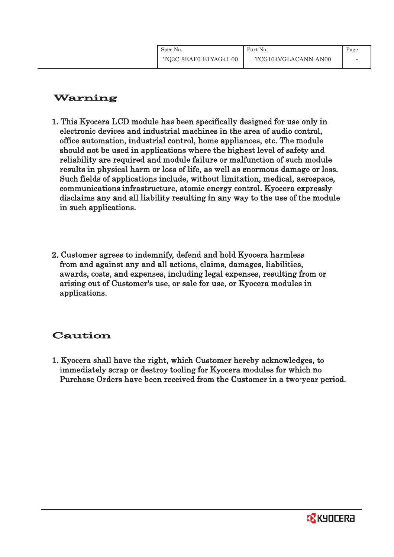# Warning

- 1. This Kyocera LCD module has been specifically designed for use only in electronic devices and industrial machines in the area of audio control, office automation, industrial control, home appliances, etc. The module should not be used in applications where the highest level of safety and reliability are required and module failure or malfunction of such module results in physical harm or loss of life, as well as enormous damage or loss. Such fields of applications include, without limitation, medical, aerospace, communications infrastructure, atomic energy control. Kyocera expressly disclaims any and all liability resulting in any way to the use of the module in such applications.
- 2. Customer agrees to indemnify, defend and hold Kyocera harmless from and against any and all actions, claims, damages, liabilities, awards, costs, and expenses, including legal expenses, resulting from or arising out of Customer's use, or sale for use, or Kyocera modules in applications.

# Caution

1. Kyocera shall have the right, which Customer hereby acknowledges, to immediately scrap or destroy tooling for Kyocera modules for which no Purchase Orders have been received from the Customer in a two-year period.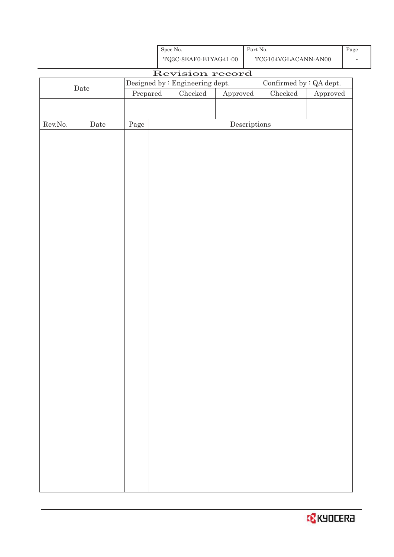

|                  |             |                                                   |  | ∼                               |                                      |                 |                        |  |
|------------------|-------------|---------------------------------------------------|--|---------------------------------|--------------------------------------|-----------------|------------------------|--|
|                  |             | Revision record<br>Confirmed by $\colon$ QA dept. |  |                                 |                                      |                 |                        |  |
| $\rm{Date}$      |             |                                                   |  | Designed by : Engineering dept. |                                      |                 |                        |  |
|                  |             | Prepared                                          |  | ${\it Checked}$                 | ${\Large\bf Approved}$               | ${\it Checked}$ | ${\Large\bf Approved}$ |  |
|                  |             |                                                   |  |                                 |                                      |                 |                        |  |
|                  |             |                                                   |  |                                 |                                      |                 |                        |  |
| ${\rm Rev. No.}$ | $\rm{Date}$ | Page                                              |  |                                 | $\label{eq:2} \textbf{Descriptions}$ |                 |                        |  |
|                  |             |                                                   |  |                                 |                                      |                 |                        |  |
|                  |             |                                                   |  |                                 |                                      |                 |                        |  |
|                  |             |                                                   |  |                                 |                                      |                 |                        |  |
|                  |             |                                                   |  |                                 |                                      |                 |                        |  |
|                  |             |                                                   |  |                                 |                                      |                 |                        |  |
|                  |             |                                                   |  |                                 |                                      |                 |                        |  |
|                  |             |                                                   |  |                                 |                                      |                 |                        |  |
|                  |             |                                                   |  |                                 |                                      |                 |                        |  |
|                  |             |                                                   |  |                                 |                                      |                 |                        |  |
|                  |             |                                                   |  |                                 |                                      |                 |                        |  |
|                  |             |                                                   |  |                                 |                                      |                 |                        |  |
|                  |             |                                                   |  |                                 |                                      |                 |                        |  |
|                  |             |                                                   |  |                                 |                                      |                 |                        |  |
|                  |             |                                                   |  |                                 |                                      |                 |                        |  |
|                  |             |                                                   |  |                                 |                                      |                 |                        |  |
|                  |             |                                                   |  |                                 |                                      |                 |                        |  |
|                  |             |                                                   |  |                                 |                                      |                 |                        |  |
|                  |             |                                                   |  |                                 |                                      |                 |                        |  |
|                  |             |                                                   |  |                                 |                                      |                 |                        |  |
|                  |             |                                                   |  |                                 |                                      |                 |                        |  |
|                  |             |                                                   |  |                                 |                                      |                 |                        |  |
|                  |             |                                                   |  |                                 |                                      |                 |                        |  |
|                  |             |                                                   |  |                                 |                                      |                 |                        |  |
|                  |             |                                                   |  |                                 |                                      |                 |                        |  |
|                  |             |                                                   |  |                                 |                                      |                 |                        |  |
|                  |             |                                                   |  |                                 |                                      |                 |                        |  |
|                  |             |                                                   |  |                                 |                                      |                 |                        |  |
|                  |             |                                                   |  |                                 |                                      |                 |                        |  |
|                  |             |                                                   |  |                                 |                                      |                 |                        |  |
|                  |             |                                                   |  |                                 |                                      |                 |                        |  |
|                  |             |                                                   |  |                                 |                                      |                 |                        |  |
|                  |             |                                                   |  |                                 |                                      |                 |                        |  |
|                  |             |                                                   |  |                                 |                                      |                 |                        |  |
|                  |             |                                                   |  |                                 |                                      |                 |                        |  |
|                  |             |                                                   |  |                                 |                                      |                 |                        |  |
|                  |             |                                                   |  |                                 |                                      |                 |                        |  |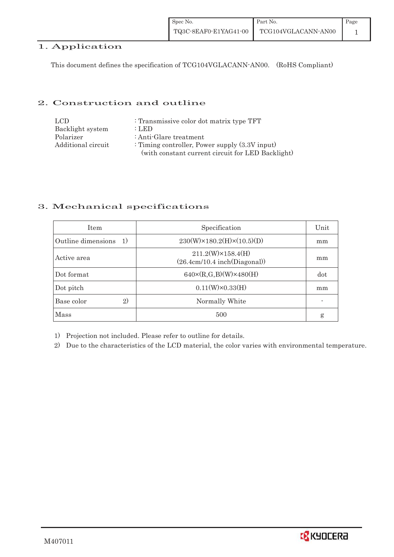| Spec No.              | Part No.            | Page |
|-----------------------|---------------------|------|
| TQ3C-8EAF0-E1YAG41-00 | TCG104VGLACANN-AN00 |      |

## 1. Application

This document defines the specification of TCG104VGLACANN-AN00. (RoHS Compliant)

### 2. Construction and outline

| LCD.               | : Transmissive color dot matrix type TFT          |
|--------------------|---------------------------------------------------|
| Backlight system   | : LED                                             |
| Polarizer          | : Anti-Glare treatment                            |
| Additional circuit | : Timing controller, Power supply $(3.3V)$ input) |
|                    | (with constant current circuit for LED Backlight) |

### 3. Mechanical specifications

| <b>Item</b>              | Specification                                             | Unit |
|--------------------------|-----------------------------------------------------------|------|
| Outline dimensions<br>1) | $230(W) \times 180.2(H) \times (10.5)(D)$                 | mm   |
| Active area              | $211.2(W)\times 158.4(H)$<br>(26.4cm/10.4 inch(Diagonal)) | mm   |
| Dot format               | $640 \times (R,G,B)(W) \times 480(H)$                     | dot  |
| Dot pitch                | $0.11(W)\times0.33(H)$                                    | mm   |
| Base color<br>2)         | Normally White                                            |      |
| Mass                     | 500                                                       | g    |

1) Projection not included. Please refer to outline for details.

2) Due to the characteristics of the LCD material, the color varies with environmental temperature.

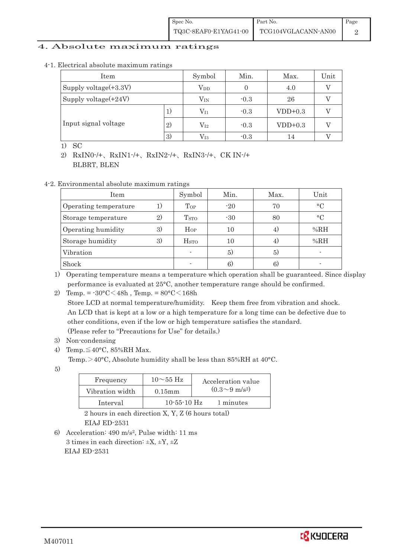### 4. Absolute maximum ratings

| 4-1. Electrical absolute maximum ratings |  |
|------------------------------------------|--|
|------------------------------------------|--|

| Item                    |    | Symbol           | Min.   | Max.      | Unit |
|-------------------------|----|------------------|--------|-----------|------|
| Supply voltage(+3.3V)   |    | $\rm V_{DD}$     |        | 4.0       |      |
| Supply voltage $(+24V)$ |    | $\rm V_{\rm IN}$ | $-0.3$ | 26        |      |
|                         | 1) | $\rm V_{11}$     | $-0.3$ | $VDD+0.3$ |      |
| Input signal voltage    | 2) | $\rm V_{I2}$     | $-0.3$ | $VDD+0.3$ |      |
|                         | 3) | $\rm V_{13}$     | $-0.3$ | 14        |      |

1) SC

2) RxIN0-/+, RxIN1-/+, RxIN2-/+, RxIN3-/+, CK IN-/+ BLBRT, BLEN

4-2. Environmental absolute maximum ratings

| Item                  |    | Symbol                  | Min.  | Max. | Unit      |
|-----------------------|----|-------------------------|-------|------|-----------|
| Operating temperature | 1) | Top                     | $-20$ | 70   | $\circ$ C |
| Storage temperature   | 2) | T <sub>STO</sub>        | $-30$ | 80   | $\circ$ C |
| Operating humidity    | 3) | $H_{OP}$                | 10    | 4,   | %RH       |
| Storage humidity      | 3) | <b>H</b> <sub>STO</sub> | 10    | 4.   | %RH       |
| Vibration             |    |                         | 5)    | 5)   |           |
| Shock                 |    |                         | 6.    |      |           |

1) Operating temperature means a temperature which operation shall be guaranteed. Since display performance is evaluated at 25°C, another temperature range should be confirmed.

2) Temp. =  $-30^{\circ}$ C $<$ 48h, Temp. =  $80^{\circ}$ C $<$ 168h

 Store LCD at normal temperature/humidity. Keep them free from vibration and shock. An LCD that is kept at a low or a high temperature for a long time can be defective due to other conditions, even if the low or high temperature satisfies the standard. (Please refer to "Precautions for Use" for details.)

- 3) Non-condensing
- 4) Temp.  $\leq 40^{\circ}$ C, 85%RH Max.
	- Temp.  $>40^{\circ}$ C, Absolute humidity shall be less than 85%RH at 40°C.

5)

| Frequency       | $10\sim$ 55 Hz    | Acceleration value         |
|-----------------|-------------------|----------------------------|
| Vibration width | $0.15$ m m        | $(0.3{\sim}9~{\rm m/s^2})$ |
| Interval        | $10 - 55 - 10$ Hz | 1 minutes                  |

2 hours in each direction X, Y, Z (6 hours total)

EIAJ ED-2531

6) Acceleration: 490 m/s2, Pulse width: 11 ms 3 times in each direction:  $\pm X$ ,  $\pm Y$ ,  $\pm Z$ EIAJ ED-2531

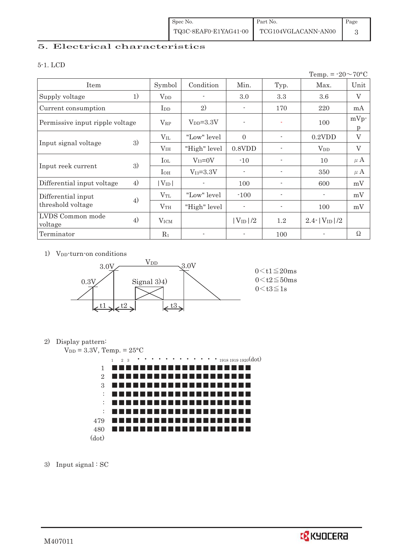## 5. Electrical characteristics

#### 5-1. LCD

|                                 |    |                        |               |                |                          | Temp. = $-20 \sim 70$ °C |              |
|---------------------------------|----|------------------------|---------------|----------------|--------------------------|--------------------------|--------------|
| Item                            |    | Symbol                 | Condition     | Min.           | Typ.                     | Max.                     | Unit         |
| Supply voltage                  | 1) | $V_{DD}$               |               | 3.0            | 3.3                      | 3.6                      | V            |
| Current consumption             |    | I <sub>DD</sub>        | 2)            | $\blacksquare$ | 170                      | 220                      | mA           |
| Permissive input ripple voltage |    | $V_{RP}$               | $V_{DD}=3.3V$ |                | ٠                        | 100                      | $mVp$ -<br>p |
|                                 |    | $V_{\rm IL}$           | "Low" level   | $\Omega$       | $\overline{\phantom{a}}$ | $0.2$ VDD                | V            |
| Input signal voltage            | 3) | V <sub>IH</sub>        | "High" level  | $0.8$ VDD      | $\overline{\phantom{a}}$ | $V_{DD}$                 | V            |
|                                 | 3) | $I_{OL}$               | $V_{I3}=0V$   | $-10$          |                          | 10                       | $\mu$ A      |
| Input reek current              |    | $I_{OH}$               | $V_{I3}=3.3V$ | $\blacksquare$ |                          | 350                      | $\mu$ A      |
| Differential input voltage      | 4) | $ V_{ID} $             |               | 100            | $\overline{a}$           | 600                      | mV           |
| Differential input              |    | $\rm V_{TL}$           | "Low" level"  | $-100$         | $\overline{a}$           |                          | mV           |
| threshold voltage               | 4) | V <sub>TH</sub>        | "High" level  |                |                          | 100                      | mV           |
| LVDS Common mode<br>voltage     | 4) | <b>V<sub>ICM</sub></b> |               | $ V_{ID} /2$   | 1.2                      | $2.4$ - $ V_{ID} /2$     |              |
| Terminator                      |    | $R_1$                  |               |                | 100                      |                          | Ω            |

1) V<sub>DD</sub>-turn-on conditions



### 2) Display pattern:



3) Input signal : SC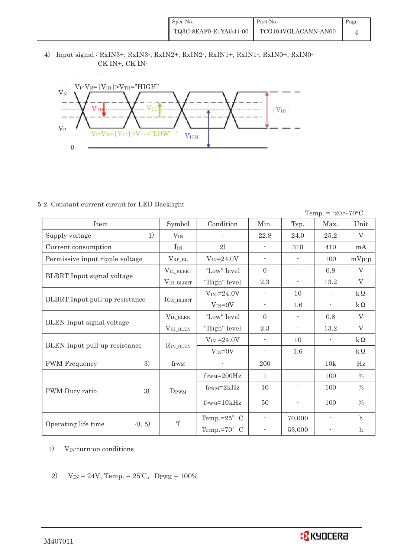4) Input signal : RxIN3+, RxIN3-, RxIN2+, RxIN2-, RxIN1+, RxIN1-, RxIN0+, RxIN0- CK IN+, CK IN-



### 5-2. Constant current circuit for LED Backlight

Temp. =  $-20 \sim 70$ °C

| <b>Item</b>                     | Symbol                | Condition                        | Min.                     | Typ.                     | Max.                     | Unit             |
|---------------------------------|-----------------------|----------------------------------|--------------------------|--------------------------|--------------------------|------------------|
| 1)<br>Supply voltage            | $V_{IN}$              |                                  | 22.8                     | 24.0                     | 25.2                     | V                |
| Current consumption             | $I_{IN}$              | 2)                               |                          | 310                      | 410                      | mA               |
| Permissive input ripple voltage | $\rm V_{RP\_BL}$      | $V_{IN} = 24.0V$                 |                          |                          | 100                      | $mVp-p$          |
|                                 | VIL BLBRT             | "Low" level                      | $\Omega$                 | $\overline{\phantom{a}}$ | 0.8                      | V                |
| BLBRT Input signal voltage      | VIH_BLBRT             | "High" level                     | 2.3                      | $\overline{\phantom{a}}$ | 13.2                     | V                |
|                                 |                       | $V_{IN} = 24.0V$                 |                          | 10                       |                          | $k\Omega$        |
| BLBRT Input pull-up resistance  | R <sub>IN</sub> BLBRT | $V_{IN}=0V$                      | $\blacksquare$           | 1.6                      | $\overline{\phantom{a}}$ | $k\Omega$        |
| BLEN Input signal voltage       | VIL_BLEN              | "Low" level                      | $\Omega$                 | $\overline{\phantom{a}}$ | 0.8                      | $\rm V$          |
|                                 | VIH_BLEN              | "High" level                     | 2.3                      | $\overline{\phantom{a}}$ | 13.2                     | $\rm V$          |
|                                 |                       | $V_{IN} = 24.0V$                 |                          | 10                       | $\overline{\phantom{a}}$ | $k\Omega$        |
| BLEN Input pull-up resistance   | <b>RIN BLEN</b>       | $V_{IN} = 0V$                    | $\overline{\phantom{a}}$ | 1.6                      | $\overline{\phantom{a}}$ | $k\Omega$        |
| 3)<br><b>PWM</b> Frequency      | f <sub>PWM</sub>      |                                  | 200                      |                          | 10k                      | Hz               |
|                                 |                       | $f_{\text{PWM}} = 200 \text{Hz}$ | $\mathbf{1}$             |                          | 100                      | $\frac{0}{0}$    |
| 3)<br>PWM Duty ratio            | DPWM                  | $f_{\text{PWM}}=2kHz$            | 10                       | $\overline{\phantom{a}}$ | 100                      | $\frac{0}{0}$    |
|                                 |                       | $f_{\text{PWM}} = 10kHz$         | 50                       | $\overline{\phantom{a}}$ | 100                      | $\%$             |
|                                 |                       | Temp.= $25^{\circ}$ C            | $\overline{\phantom{a}}$ | 70,000                   | $\overline{\phantom{a}}$ | $\mathbf{h}$     |
| 4), 5)<br>Operating life time   | T                     | Temp.= $70^{\circ}$ C            |                          | 53,000                   |                          | $\boldsymbol{h}$ |

- 1) VIN-turn-on conditions
- 2)  $V_{IN} = 24V$ , Temp. =  $25^{\circ}$ C, D<sub>PWM</sub> = 100%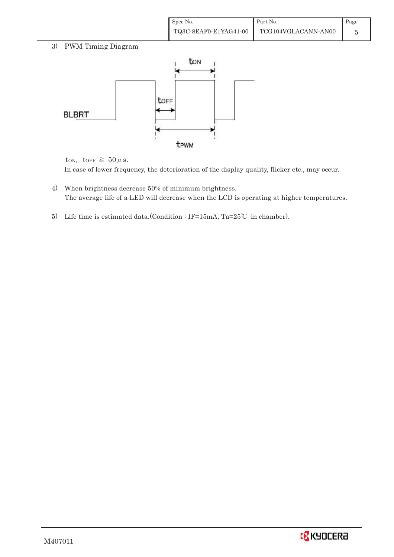| Spec No.              | Part No.            | Page |
|-----------------------|---------------------|------|
| TQ3C-8EAF0-E1YAG41-00 | TCG104VGLACANN-AN00 |      |

## 3) PWM Timing Diagram



ton, to<br>FF  $\geq 50 \,\mu$  s.

In case of lower frequency, the deterioration of the display quality, flicker etc., may occur.

- 4) When brightness decrease 50% of minimum brightness. The average life of a LED will decrease when the LCD is operating at higher temperatures.
- 5) Life time is estimated data.(Condition: IF=15mA, Ta=25°C in chamber).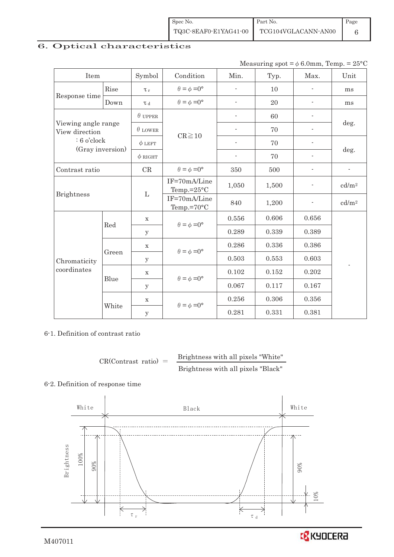| Spec No. | Part No.                                  | Page |
|----------|-------------------------------------------|------|
|          | TQ3C-8EAF0-E1YAG41-00 TCG104VGLACANN-AN00 |      |

## 6. Optical characteristics

Measuring spot =  $\phi$  6.0mm, Temp. = 25°C

| Item              |                     | Symbol         | Condition                             |                          | Typ.  | Max.                     | Unit                     |
|-------------------|---------------------|----------------|---------------------------------------|--------------------------|-------|--------------------------|--------------------------|
|                   | Rise                | $\tau_r$       | $\theta = \phi = 0^{\circ}$           |                          | 10    |                          | ms                       |
| Response time     | Down                | T <sub>d</sub> | $\theta = \phi = 0^{\circ}$           | $\overline{a}$           | 20    | $\overline{\phantom{a}}$ | ms                       |
|                   |                     | $\theta$ UPPER |                                       | $\overline{\phantom{a}}$ | 60    |                          |                          |
| View direction    | Viewing angle range |                | $CR \ge 10$                           |                          | 70    |                          | deg.                     |
| $: 6$ o'clock     |                     | $\phi$ LEFT    |                                       |                          | 70    |                          |                          |
| (Gray inversion)  |                     | $\phi$ RIGHT   |                                       | $\overline{\phantom{a}}$ | 70    |                          | deg.                     |
| Contrast ratio    |                     | CR             | $\theta = \phi = 0^{\circ}$           | 350                      | 500   | $\overline{\phantom{a}}$ | $\overline{\phantom{a}}$ |
|                   |                     |                | IF=70mA/Line<br>Temp.= $25^{\circ}$ C | 1,050                    | 1,500 |                          | cd/m <sup>2</sup>        |
| <b>Brightness</b> |                     | $\Gamma$       | IF=70mA/Line<br>Temp.=70°C            | 840                      | 1,200 |                          | cd/m <sup>2</sup>        |
|                   | Red                 | $\mathbf X$    | $\theta = \phi = 0^{\circ}$           | 0.556                    | 0.606 | 0.656                    |                          |
|                   |                     | У              |                                       | 0.289                    | 0.339 | 0.389                    |                          |
|                   |                     | $\mathbf X$    | $\theta = \phi = 0^{\circ}$           | 0.286                    | 0.336 | 0.386                    |                          |
| Chromaticity      | Green               | $\mathbf{y}$   |                                       | 0.503                    | 0.553 | 0.603                    |                          |
| coordinates       |                     | $\mathbf X$    |                                       | 0.102                    | 0.152 | 0.202                    |                          |
|                   | Blue                | у              | $\theta = \phi = 0^{\circ}$           | 0.067                    | 0.117 | 0.167                    |                          |
|                   |                     | $\mathbf x$    | $\theta = \phi = 0^{\circ}$           | 0.256                    | 0.306 | 0.356                    |                          |
|                   | White               | $\mathbf{y}$   |                                       | 0.281                    | 0.331 | 0.381                    |                          |

### 6-1. Definition of contrast ratio

```
CR(Contrast ratio) =Brightness with all pixels "White" 
             Brightness with all pixels "Black"
```
#### 6-2. Definition of response time

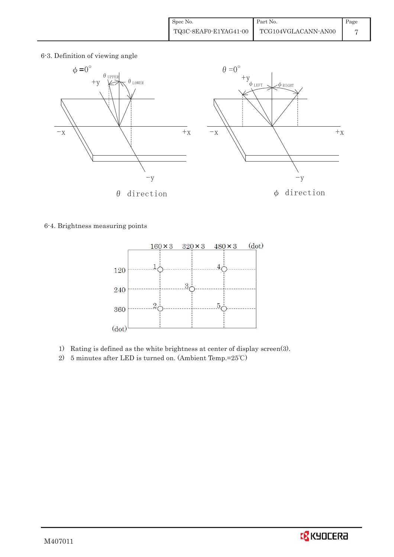6-3. Definition of viewing angle



6-4. Brightness measuring points



- 1) Rating is defined as the white brightness at center of display screen(3).
- 2) 5 minutes after LED is turned on. (Ambient Temp.= $25^{\circ}$ C)

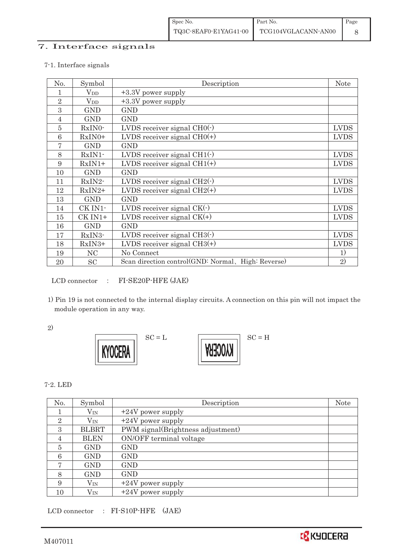## 7. Interface signals

#### 7-1. Interface signals

| No.            | Symbol         | Description                                        | <b>Note</b>  |
|----------------|----------------|----------------------------------------------------|--------------|
|                | $V_{DD}$       | $+3.3V$ power supply                               |              |
| $\overline{2}$ | $V_{DD}$       | +3.3V power supply                                 |              |
| 3              | <b>GND</b>     | <b>GND</b>                                         |              |
| $\overline{4}$ | <b>GND</b>     | <b>GND</b>                                         |              |
| 5              | RxIN0-         | LVDS receiver signal $CHO(-)$                      | <b>LVDS</b>  |
| 6              | $RxIN0+$       | LVDS receiver signal $CHO(+)$                      | <b>LVDS</b>  |
| 7              | <b>GND</b>     | <b>GND</b>                                         |              |
| 8              | $RxIN1$ -      | LVDS receiver signal $CH1(\cdot)$                  | <b>LVDS</b>  |
| 9              | $RxIN1+$       | LVDS receiver signal $CH1(+)$                      | <b>LVDS</b>  |
| 10             | <b>GND</b>     | <b>GND</b>                                         |              |
| 11             | RxIN2-         | LVDS receiver signal $CH2(\cdot)$                  | <b>LVDS</b>  |
| 12             | $RxIN2+$       | LVDS receiver signal $CH2(+)$                      | <b>LVDS</b>  |
| 13             | <b>GND</b>     | GND                                                |              |
| 14             | CK IN1-        | LVDS receiver signal $CK(\cdot)$                   | <b>LVDS</b>  |
| 15             | CK IN1+        | LVDS receiver signal $CK(+)$                       | <b>LVDS</b>  |
| 16             | <b>GND</b>     | <b>GND</b>                                         |              |
| 17             | RxIN3-         | LVDS receiver signal $CH3$ ( $\cdot$ )             | <b>LVDS</b>  |
| 18             | $RxIN3+$       | LVDS receiver signal $CH3(+)$                      | <b>LVDS</b>  |
| 19             | N <sub>C</sub> | No Connect                                         | 1)           |
| 20             | SC             | Scan direction control(GND: Normal, High: Reverse) | $\mathbf{2}$ |

LCD connector : FI-SE20P-HFE (JAE)

 1) Pin 19 is not connected to the internal display circuits. A connection on this pin will not impact the module operation in any way.

2)



7-2. LED

| No.            | Symbol       | Description                       | <b>Note</b> |
|----------------|--------------|-----------------------------------|-------------|
|                | $V_{\rm IN}$ | $+24V$ power supply               |             |
| $\overline{2}$ | $V_{\rm IN}$ | $+24V$ power supply               |             |
| 3              | <b>BLBRT</b> | PWM signal(Brightness adjustment) |             |
| 4              | <b>BLEN</b>  | ON/OFF terminal voltage           |             |
| 5              | <b>GND</b>   | <b>GND</b>                        |             |
| 6              | <b>GND</b>   | <b>GND</b>                        |             |
| 7              | <b>GND</b>   | <b>GND</b>                        |             |
| 8              | <b>GND</b>   | <b>GND</b>                        |             |
| 9              | $\rm V_{IN}$ | $+24V$ power supply               |             |
| 10             | $\rm V_{IN}$ | $+24V$ power supply               |             |

LCD connector : FI-S10P-HFE (JAE)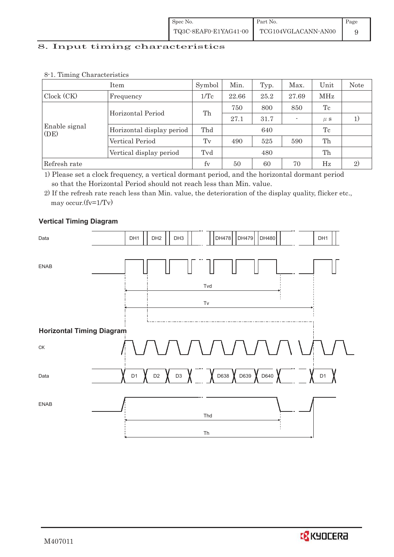### 8. Input timing characteristics

|                       | Item                      | Symbol          | Min.  | Typ. | Max.                     | Unit    | <b>Note</b>  |
|-----------------------|---------------------------|-----------------|-------|------|--------------------------|---------|--------------|
| Clock (CK)            | Frequency                 | $1/\mathrm{Tc}$ | 22.66 | 25.2 | 27.69                    | MHz     |              |
|                       |                           |                 | 750   | 800  | 850                      | Tc      |              |
|                       | Horizontal Period         | Th              | 27.1  | 31.7 | $\overline{\phantom{a}}$ | $\mu$ s |              |
| Enable signal<br>(DE) | Horizontal display period | Thd             |       | 640  |                          | Tc      |              |
|                       | Vertical Period           | Tv              | 490   | 525  | 590                      | Th      |              |
|                       | Vertical display period   | Tvd             |       | 480  |                          | Th      |              |
| Refresh rate          |                           | fv              | 50    | 60   | 70                       | Hz      | $\mathbf{2}$ |

#### 8-1. Timing Characteristics

1) Please set a clock frequency, a vertical dormant period, and the horizontal dormant period so that the Horizontal Period should not reach less than Min. value.

2) If the refresh rate reach less than Min. value, the deterioration of the display quality, flicker etc., may occur.(fv=1/Tv)

### **Vertical Timing Diagram**



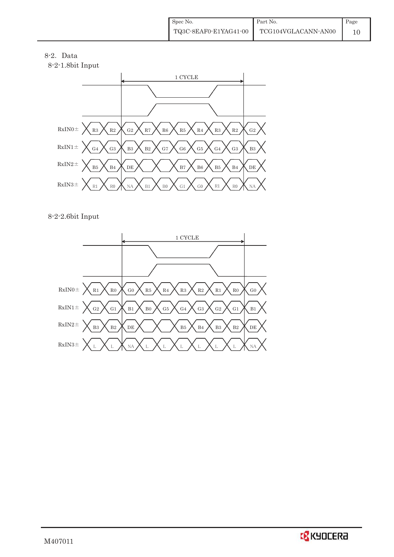



8-2-2.6bit Input

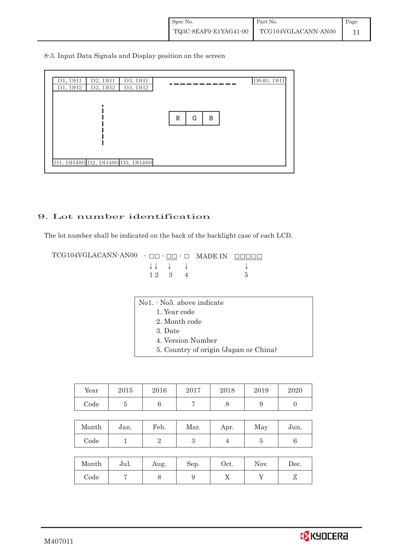8-3. Input Data Signals and Display position on the screen



## 9. Lot number identification

The lot number shall be indicated on the back of the backlight case of each LCD.

TCG104VGLACANN-AN00 - ŌŌ - ŌŌ - Ō MADE IN ŌŌŌŌŌ  $\downarrow \downarrow \quad \downarrow \quad \downarrow$  $1 \ 2 \ 3 \ 4 \ 5$ 

| No1. No5. above indicate |  |
|--------------------------|--|
| 1. Year code             |  |
| 2. Month code            |  |
| 3. Date                  |  |
| 4. Version Number        |  |

5. Country of origin (Japan or China)

| Year | 2015 | 2016 | 2017 | 2018 | 2019 | 2020 |
|------|------|------|------|------|------|------|
| Code |      |      |      |      |      |      |

| Month | Jan. | Feb. | Mar. | Apr. | May | Jun. |
|-------|------|------|------|------|-----|------|
| Code  |      |      |      |      |     |      |

| Month | Jul. | Aug. | Sep. | $\rm Oct.$ | Nov. | Dec. |
|-------|------|------|------|------------|------|------|
| Code  |      |      |      | ∡⊾         |      |      |

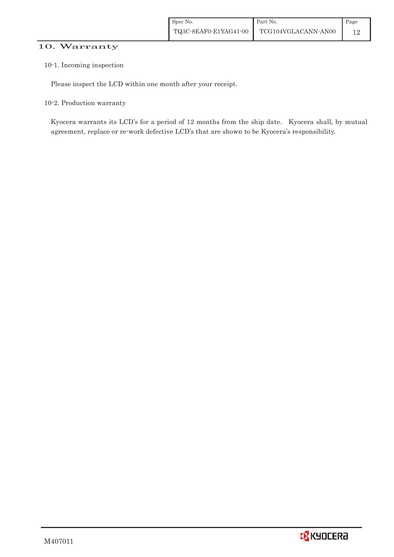### 10. Warranty

#### 10-1. Incoming inspection

Please inspect the LCD within one month after your receipt.

10-2. Production warranty

 Kyocera warrants its LCD's for a period of 12 months from the ship date. Kyocera shall, by mutual agreement, replace or re-work defective LCD's that are shown to be Kyocera's responsibility.

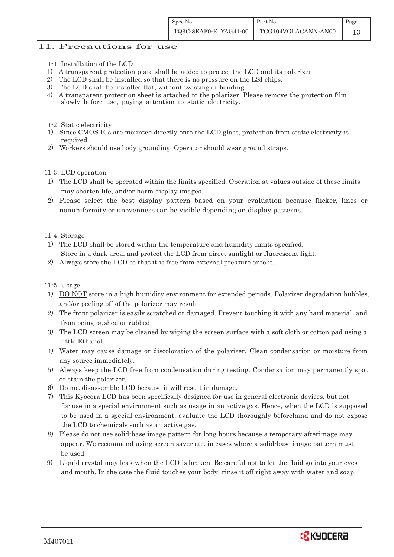### 11. Precautions for use

- 11-1. Installation of the LCD
- 1) A transparent protection plate shall be added to protect the LCD and its polarizer
- 2) The LCD shall be installed so that there is no pressure on the LSI chips.
- 3) The LCD shall be installed flat, without twisting or bending.
- 4) A transparent protection sheet is attached to the polarizer. Please remove the protection film slowly before use, paying attention to static electricity.

11-2. Static electricity

- 1) Since CMOS ICs are mounted directly onto the LCD glass, protection from static electricity is required.
- 2) Workers should use body grounding. Operator should wear ground straps.

11-3. LCD operation

- 1) The LCD shall be operated within the limits specified. Operation at values outside of these limits may shorten life, and/or harm display images.
- 2) Please select the best display pattern based on your evaluation because flicker, lines or nonuniformity or unevenness can be visible depending on display patterns.

11-4. Storage

- 1) The LCD shall be stored within the temperature and humidity limits specified. Store in a dark area, and protect the LCD from direct sunlight or fluorescent light.
- 2) Always store the LCD so that it is free from external pressure onto it.

11-5. Usage

- 1) DO NOT store in a high humidity environment for extended periods. Polarizer degradation bubbles, and/or peeling off of the polarizer may result.
- 2) The front polarizer is easily scratched or damaged. Prevent touching it with any hard material, and from being pushed or rubbed.
- 3) The LCD screen may be cleaned by wiping the screen surface with a soft cloth or cotton pad using a little Ethanol.
- 4) Water may cause damage or discoloration of the polarizer. Clean condensation or moisture from any source immediately.
- 5) Always keep the LCD free from condensation during testing. Condensation may permanently spot or stain the polarizer.
- 6) Do not disassemble LCD because it will result in damage.
- 7) This Kyocera LCD has been specifically designed for use in general electronic devices, but not for use in a special environment such as usage in an active gas. Hence, when the LCD is supposed to be used in a special environment, evaluate the LCD thoroughly beforehand and do not expose the LCD to chemicals such as an active gas.
- 8) Please do not use solid-base image pattern for long hours because a temporary afterimage may appear. We recommend using screen saver etc. in cases where a solid-base image pattern must be used.
- 9) Liquid crystal may leak when the LCD is broken. Be careful not to let the fluid go into your eyes and mouth. In the case the fluid touches your body; rinse it off right away with water and soap.

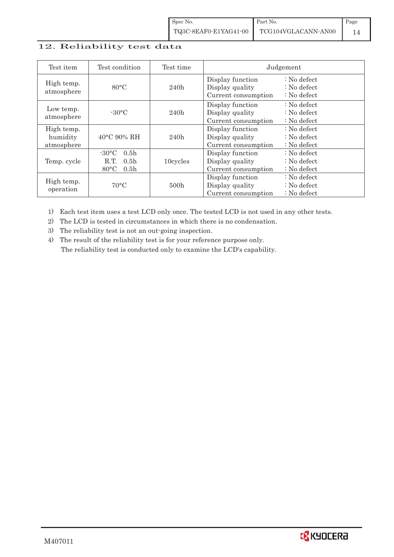## 12. Reliability test data

| Test item                            | Test condition                                                                                        | Test time | Judgement                                                  |                                                 |
|--------------------------------------|-------------------------------------------------------------------------------------------------------|-----------|------------------------------------------------------------|-------------------------------------------------|
| High temp.<br>atmosphere             | $80^{\circ}$ C                                                                                        | 240h      | Display function<br>Display quality<br>Current consumption | $: No$ defect<br>$: No$ defect<br>$: No$ defect |
| Low temp.<br>atmosphere              | $-30$ °C                                                                                              | 240h      | Display function<br>Display quality<br>Current consumption | $: No$ defect<br>$: No$ defect<br>$: No$ defect |
| High temp.<br>humidity<br>atmosphere | $40^{\circ}$ C 90% RH                                                                                 | 240h      | Display function<br>Display quality<br>Current consumption | : No defect<br>$: No$ defect<br>$: No$ defect   |
| Temp. cycle                          | $-30^{\circ}$ C<br>0.5 <sub>h</sub><br>0.5 <sub>h</sub><br>R.T.<br>$80^{\circ}$ C<br>0.5 <sub>h</sub> | 10cycles  | Display function<br>Display quality<br>Current consumption | $: No$ defect<br>$: No$ defect<br>$: No$ defect |
| High temp.<br>operation              | $70^{\circ}$ C                                                                                        | 500h      | Display function<br>Display quality<br>Current consumption | $: No$ defect<br>$: No$ defect<br>$: No$ defect |

1) Each test item uses a test LCD only once. The tested LCD is not used in any other tests.

2) The LCD is tested in circumstances in which there is no condensation.

3) The reliability test is not an out-going inspection.

4) The result of the reliability test is for your reference purpose only. The reliability test is conducted only to examine the LCD's capability.

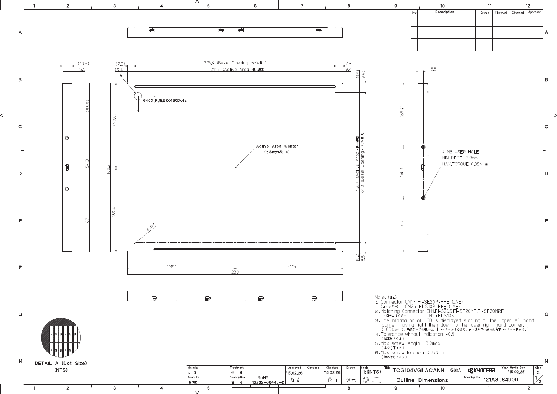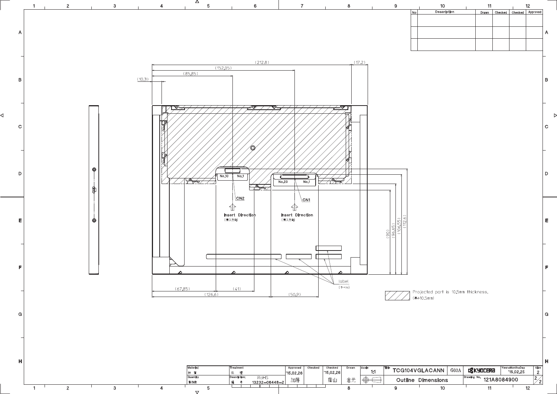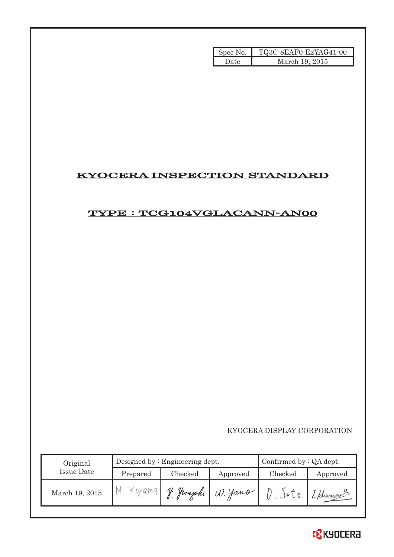| Spec No. | TQ3C-8EAF0-E2YAG41-00 |
|----------|-----------------------|
| Date     | March 19, 2015        |

# KYOCERA INSPECTION STANDARD

## TYPE : TCG104VGLACANN-AN00

KYOCERA DISPLAY CORPORATION

| Original       |          | Designed by $:$ Engineering dept. | Confirmed by $:QA$ dept. |         |          |
|----------------|----------|-----------------------------------|--------------------------|---------|----------|
| Issue Date     | Prepared | Checked                           | Approved                 | Checked | Approved |
| March 19, 2015 | Koyama   |                                   | Jamazaki (1). Yano       |         | 1-Hamas  |

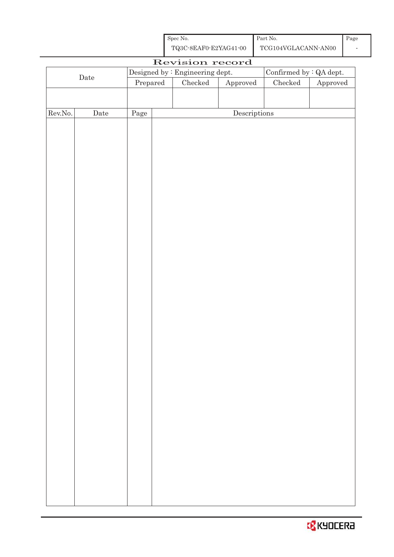| Spec No.              | Part No.            | Page |
|-----------------------|---------------------|------|
| TQ3C-8EAF0-E2YAG41-00 | TCG104VGLACANN-AN00 |      |

|                                                                   | Revision record |                                  |  |               |                                      |                 |                        |
|-------------------------------------------------------------------|-----------------|----------------------------------|--|---------------|--------------------------------------|-----------------|------------------------|
| Confirmed by $\colon$ QA dept.<br>Designed by : Engineering dept. |                 |                                  |  |               |                                      |                 |                        |
| $\rm{Date}$                                                       |                 | $\ensuremath{\mathrm{Prepared}}$ |  | $\rm Checked$ | Approved                             | ${\it Checked}$ | ${\Large\bf Approved}$ |
|                                                                   |                 |                                  |  |               |                                      |                 |                        |
|                                                                   |                 |                                  |  |               |                                      |                 |                        |
| Rev.No.                                                           | $\rm{Date}$     | Page                             |  |               | $\label{eq:2} \textbf{Descriptions}$ |                 |                        |
|                                                                   |                 |                                  |  |               |                                      |                 |                        |
|                                                                   |                 |                                  |  |               |                                      |                 |                        |
|                                                                   |                 |                                  |  |               |                                      |                 |                        |
|                                                                   |                 |                                  |  |               |                                      |                 |                        |
|                                                                   |                 |                                  |  |               |                                      |                 |                        |
|                                                                   |                 |                                  |  |               |                                      |                 |                        |
|                                                                   |                 |                                  |  |               |                                      |                 |                        |
|                                                                   |                 |                                  |  |               |                                      |                 |                        |
|                                                                   |                 |                                  |  |               |                                      |                 |                        |
|                                                                   |                 |                                  |  |               |                                      |                 |                        |
|                                                                   |                 |                                  |  |               |                                      |                 |                        |
|                                                                   |                 |                                  |  |               |                                      |                 |                        |
|                                                                   |                 |                                  |  |               |                                      |                 |                        |
|                                                                   |                 |                                  |  |               |                                      |                 |                        |
|                                                                   |                 |                                  |  |               |                                      |                 |                        |
|                                                                   |                 |                                  |  |               |                                      |                 |                        |
|                                                                   |                 |                                  |  |               |                                      |                 |                        |
|                                                                   |                 |                                  |  |               |                                      |                 |                        |
|                                                                   |                 |                                  |  |               |                                      |                 |                        |
|                                                                   |                 |                                  |  |               |                                      |                 |                        |
|                                                                   |                 |                                  |  |               |                                      |                 |                        |
|                                                                   |                 |                                  |  |               |                                      |                 |                        |
|                                                                   |                 |                                  |  |               |                                      |                 |                        |
|                                                                   |                 |                                  |  |               |                                      |                 |                        |
|                                                                   |                 |                                  |  |               |                                      |                 |                        |
|                                                                   |                 |                                  |  |               |                                      |                 |                        |
|                                                                   |                 |                                  |  |               |                                      |                 |                        |
|                                                                   |                 |                                  |  |               |                                      |                 |                        |
|                                                                   |                 |                                  |  |               |                                      |                 |                        |
|                                                                   |                 |                                  |  |               |                                      |                 |                        |
|                                                                   |                 |                                  |  |               |                                      |                 |                        |
|                                                                   |                 |                                  |  |               |                                      |                 |                        |
|                                                                   |                 |                                  |  |               |                                      |                 |                        |
|                                                                   |                 |                                  |  |               |                                      |                 |                        |
|                                                                   |                 |                                  |  |               |                                      |                 |                        |
|                                                                   |                 |                                  |  |               |                                      |                 |                        |
|                                                                   |                 |                                  |  |               |                                      |                 |                        |
|                                                                   |                 |                                  |  |               |                                      |                 |                        |

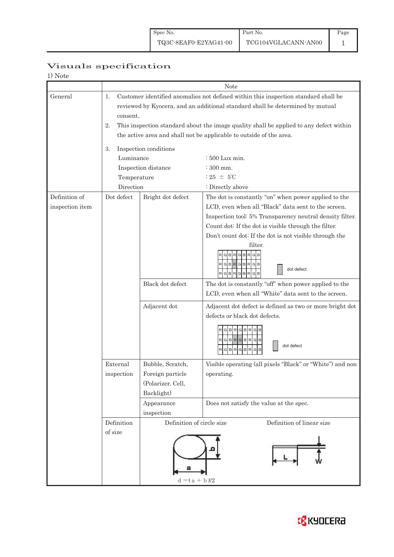Page 1

# Visuals specification

| 1) Note         |                                                                                              |                                                                                    |                                                           |  |  |  |  |  |
|-----------------|----------------------------------------------------------------------------------------------|------------------------------------------------------------------------------------|-----------------------------------------------------------|--|--|--|--|--|
|                 | Note                                                                                         |                                                                                    |                                                           |  |  |  |  |  |
| General         | 1.                                                                                           | Customer identified anomalies not defined within this inspection standard shall be |                                                           |  |  |  |  |  |
|                 | reviewed by Kyocera, and an additional standard shall be determined by mutual                |                                                                                    |                                                           |  |  |  |  |  |
|                 | consent.                                                                                     |                                                                                    |                                                           |  |  |  |  |  |
|                 | This inspection standard about the image quality shall be applied to any defect within<br>2. |                                                                                    |                                                           |  |  |  |  |  |
|                 |                                                                                              | the active area and shall not be applicable to outside of the area.                |                                                           |  |  |  |  |  |
|                 | Inspection conditions<br>3.                                                                  |                                                                                    |                                                           |  |  |  |  |  |
|                 | Luminance                                                                                    |                                                                                    | $\div 500$ Lux min.                                       |  |  |  |  |  |
|                 |                                                                                              | Inspection distance                                                                | : 300 mm.                                                 |  |  |  |  |  |
|                 | Temperature                                                                                  |                                                                                    | $:25 \pm 5^{\circ}$ C                                     |  |  |  |  |  |
|                 | Direction                                                                                    |                                                                                    | : Directly above                                          |  |  |  |  |  |
| Definition of   | Dot defect                                                                                   | Bright dot defect                                                                  | The dot is constantly "on" when power applied to the      |  |  |  |  |  |
| inspection item |                                                                                              |                                                                                    | LCD, even when all "Black" data sent to the screen.       |  |  |  |  |  |
|                 |                                                                                              |                                                                                    | Inspection tool: 5% Transparency neutral density filter.  |  |  |  |  |  |
|                 |                                                                                              |                                                                                    | Count dot: If the dot is visible through the filter.      |  |  |  |  |  |
|                 |                                                                                              |                                                                                    | Don't count dot: If the dot is not visible through the    |  |  |  |  |  |
|                 |                                                                                              |                                                                                    | filter.                                                   |  |  |  |  |  |
|                 |                                                                                              |                                                                                    | G<br>BR<br>G<br>R                                         |  |  |  |  |  |
|                 |                                                                                              |                                                                                    | RGBRGBRGB                                                 |  |  |  |  |  |
|                 |                                                                                              |                                                                                    | dot defect<br><b>GBR</b><br>G<br><b>BR</b><br>G<br>B      |  |  |  |  |  |
|                 |                                                                                              | Black dot defect                                                                   | The dot is constantly "off" when power applied to the     |  |  |  |  |  |
|                 |                                                                                              |                                                                                    | LCD, even when all "White" data sent to the screen.       |  |  |  |  |  |
|                 |                                                                                              | Adjacent dot                                                                       | Adjacent dot defect is defined as two or more bright dot  |  |  |  |  |  |
|                 |                                                                                              |                                                                                    | defects or black dot defects.                             |  |  |  |  |  |
|                 |                                                                                              |                                                                                    | RGBRGBR                                                   |  |  |  |  |  |
|                 |                                                                                              |                                                                                    | $RG$ B $RG$ B $RG$ B                                      |  |  |  |  |  |
|                 |                                                                                              |                                                                                    | dot defect<br>R<br>GBR                                    |  |  |  |  |  |
|                 |                                                                                              |                                                                                    | B<br>G<br>R<br>G<br>в                                     |  |  |  |  |  |
|                 | External                                                                                     | Bubble, Scratch,                                                                   | Visible operating (all pixels "Black" or "White") and non |  |  |  |  |  |
|                 | inspection                                                                                   | Foreign particle                                                                   | operating.                                                |  |  |  |  |  |
|                 |                                                                                              | (Polarizer, Cell,                                                                  |                                                           |  |  |  |  |  |
|                 |                                                                                              | Backlight)                                                                         |                                                           |  |  |  |  |  |
|                 |                                                                                              | Appearance                                                                         | Does not satisfy the value at the spec.                   |  |  |  |  |  |
|                 |                                                                                              | inspection                                                                         |                                                           |  |  |  |  |  |
|                 | Definition of circle size<br>Definition of linear size<br>Definition                         |                                                                                    |                                                           |  |  |  |  |  |
|                 | of size                                                                                      |                                                                                    |                                                           |  |  |  |  |  |
|                 |                                                                                              |                                                                                    |                                                           |  |  |  |  |  |
|                 |                                                                                              |                                                                                    |                                                           |  |  |  |  |  |
|                 |                                                                                              |                                                                                    |                                                           |  |  |  |  |  |
|                 |                                                                                              |                                                                                    |                                                           |  |  |  |  |  |
|                 |                                                                                              | $\mathbf{d} = ( \, \mathbf{a} \, + \, \mathbf{b} \, )/2$                           |                                                           |  |  |  |  |  |